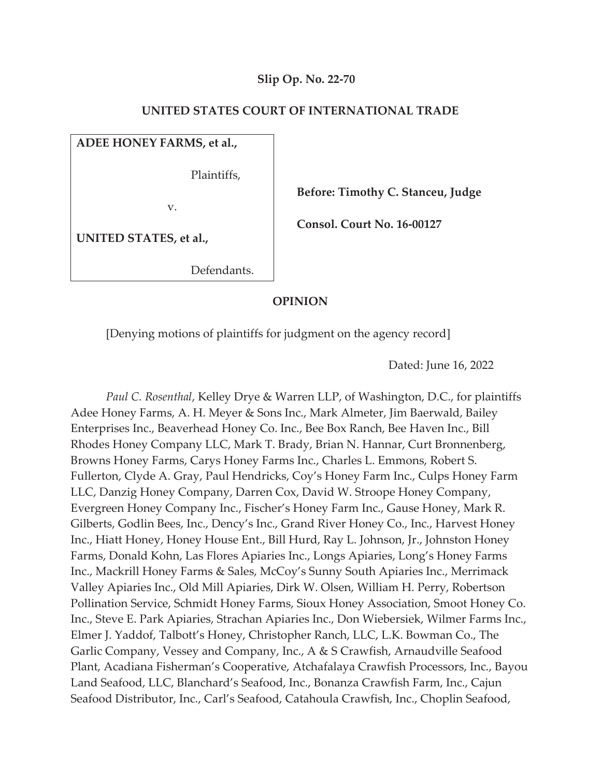# **Slip Op. No. 22-70**

### **UNITED STATES COURT OF INTERNATIONAL TRADE**

# **ADEE HONEY FARMS, et al.,**

Plaintiffs,

v.

 **Before: Timothy C. Stanceu, Judge** 

 **Consol. Court No. 16-00127** 

**UNITED STATES, et al.,** 

Defendants.

### **OPINION**

[Denying motions of plaintiffs for judgment on the agency record]

Dated: June 16, 2022

*Paul C. Rosenthal*, Kelley Drye & Warren LLP, of Washington, D.C., for plaintiffs Adee Honey Farms, A. H. Meyer & Sons Inc., Mark Almeter, Jim Baerwald, Bailey Enterprises Inc., Beaverhead Honey Co. Inc., Bee Box Ranch, Bee Haven Inc., Bill Rhodes Honey Company LLC, Mark T. Brady, Brian N. Hannar, Curt Bronnenberg, Browns Honey Farms, Carys Honey Farms Inc., Charles L. Emmons, Robert S. Fullerton, Clyde A. Gray, Paul Hendricks, Coy's Honey Farm Inc., Culps Honey Farm LLC, Danzig Honey Company, Darren Cox, David W. Stroope Honey Company, Evergreen Honey Company Inc., Fischer's Honey Farm Inc., Gause Honey, Mark R. Gilberts, Godlin Bees, Inc., Dency's Inc., Grand River Honey Co., Inc., Harvest Honey Inc., Hiatt Honey, Honey House Ent., Bill Hurd, Ray L. Johnson, Jr., Johnston Honey Farms, Donald Kohn, Las Flores Apiaries Inc., Longs Apiaries, Long's Honey Farms Inc., Mackrill Honey Farms & Sales, McCoy's Sunny South Apiaries Inc., Merrimack Valley Apiaries Inc., Old Mill Apiaries, Dirk W. Olsen, William H. Perry, Robertson Pollination Service, Schmidt Honey Farms, Sioux Honey Association, Smoot Honey Co. Inc., Steve E. Park Apiaries, Strachan Apiaries Inc., Don Wiebersiek, Wilmer Farms Inc., Elmer J. Yaddof, Talbott's Honey, Christopher Ranch, LLC, L.K. Bowman Co., The Garlic Company, Vessey and Company, Inc., A & S Crawfish, Arnaudville Seafood Plant, Acadiana Fisherman's Cooperative, Atchafalaya Crawfish Processors, Inc., Bayou Land Seafood, LLC, Blanchard's Seafood, Inc., Bonanza Crawfish Farm, Inc., Cajun Seafood Distributor, Inc., Carl's Seafood, Catahoula Crawfish, Inc., Choplin Seafood,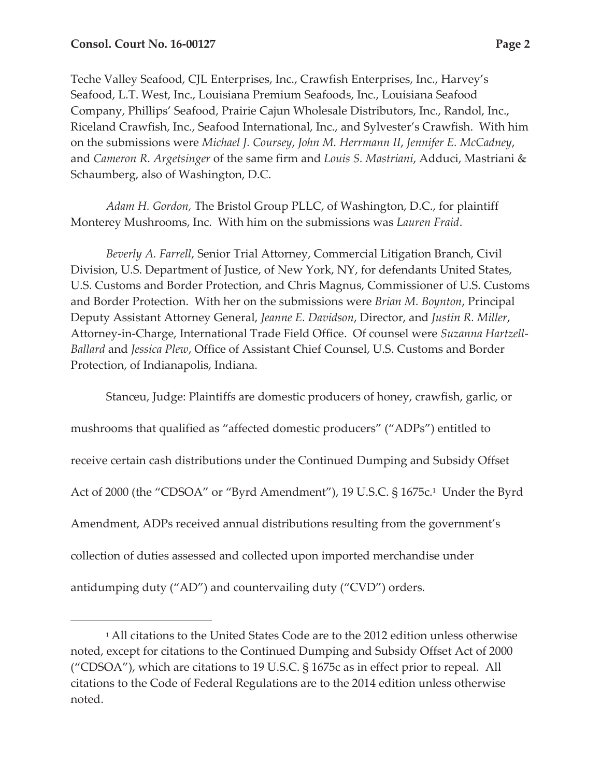Teche Valley Seafood, CJL Enterprises, Inc., Crawfish Enterprises, Inc., Harvey's Seafood, L.T. West, Inc., Louisiana Premium Seafoods, Inc., Louisiana Seafood Company, Phillips' Seafood, Prairie Cajun Wholesale Distributors, Inc., Randol, Inc., Riceland Crawfish, Inc., Seafood International, Inc., and Sylvester's Crawfish. With him on the submissions were *Michael J. Coursey*, *John M. Herrmann II*, *Jennifer E. McCadney*, and *Cameron R. Argetsinger* of the same firm and *Louis S. Mastriani*, Adduci, Mastriani & Schaumberg, also of Washington, D.C.

*Adam H. Gordon,* The Bristol Group PLLC, of Washington, D.C., for plaintiff Monterey Mushrooms, Inc. With him on the submissions was *Lauren Fraid*.

*Beverly A. Farrell*, Senior Trial Attorney, Commercial Litigation Branch, Civil Division, U.S. Department of Justice, of New York, NY, for defendants United States, U.S. Customs and Border Protection, and Chris Magnus, Commissioner of U.S. Customs and Border Protection. With her on the submissions were *Brian M. Boynton*, Principal Deputy Assistant Attorney General, *Jeanne E. Davidson*, Director, and *Justin R. Miller*, Attorney-in-Charge, International Trade Field Office. Of counsel were *Suzanna Hartzell-Ballard* and *Jessica Plew*, Office of Assistant Chief Counsel, U.S. Customs and Border Protection, of Indianapolis, Indiana.

Stanceu, Judge: Plaintiffs are domestic producers of honey, crawfish, garlic, or mushrooms that qualified as "affected domestic producers" ("ADPs") entitled to receive certain cash distributions under the Continued Dumping and Subsidy Offset Act of 2000 (the "CDSOA" or "Byrd Amendment"), 19 U.S.C. § 1675c.1 Under the Byrd Amendment, ADPs received annual distributions resulting from the government's collection of duties assessed and collected upon imported merchandise under antidumping duty ("AD") and countervailing duty ("CVD") orders.

<sup>1</sup> All citations to the United States Code are to the 2012 edition unless otherwise noted, except for citations to the Continued Dumping and Subsidy Offset Act of 2000 ("CDSOA"), which are citations to 19 U.S.C. § 1675c as in effect prior to repeal. All citations to the Code of Federal Regulations are to the 2014 edition unless otherwise noted.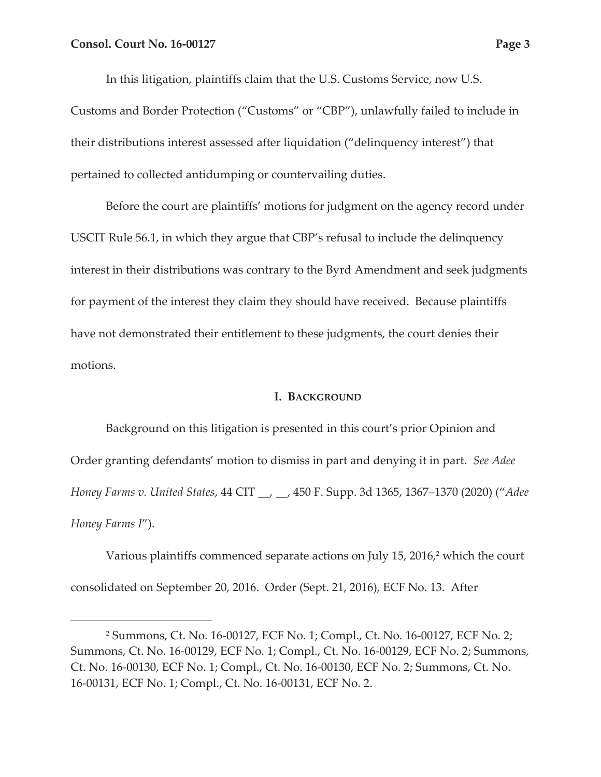In this litigation, plaintiffs claim that the U.S. Customs Service, now U.S.

Customs and Border Protection ("Customs" or "CBP"), unlawfully failed to include in their distributions interest assessed after liquidation ("delinquency interest") that pertained to collected antidumping or countervailing duties.

Before the court are plaintiffs' motions for judgment on the agency record under USCIT Rule 56.1, in which they argue that CBP's refusal to include the delinquency interest in their distributions was contrary to the Byrd Amendment and seek judgments for payment of the interest they claim they should have received. Because plaintiffs have not demonstrated their entitlement to these judgments, the court denies their motions.

#### **I. BACKGROUND**

Background on this litigation is presented in this court's prior Opinion and Order granting defendants' motion to dismiss in part and denying it in part. *See Adee Honey Farms v. United States*, 44 CIT \_\_, \_\_, 450 F. Supp. 3d 1365, 1367–1370 (2020) ("*Adee Honey Farms I*").

Various plaintiffs commenced separate actions on July 15, 2016,<sup>2</sup> which the court consolidated on September 20, 2016. Order (Sept. 21, 2016), ECF No. 13. After

<sup>2</sup> Summons, Ct. No. 16-00127, ECF No. 1; Compl., Ct. No. 16-00127, ECF No. 2; Summons, Ct. No. 16-00129, ECF No. 1; Compl., Ct. No. 16-00129, ECF No. 2; Summons, Ct. No. 16-00130, ECF No. 1; Compl., Ct. No. 16-00130, ECF No. 2; Summons, Ct. No. 16-00131, ECF No. 1; Compl., Ct. No. 16-00131, ECF No. 2.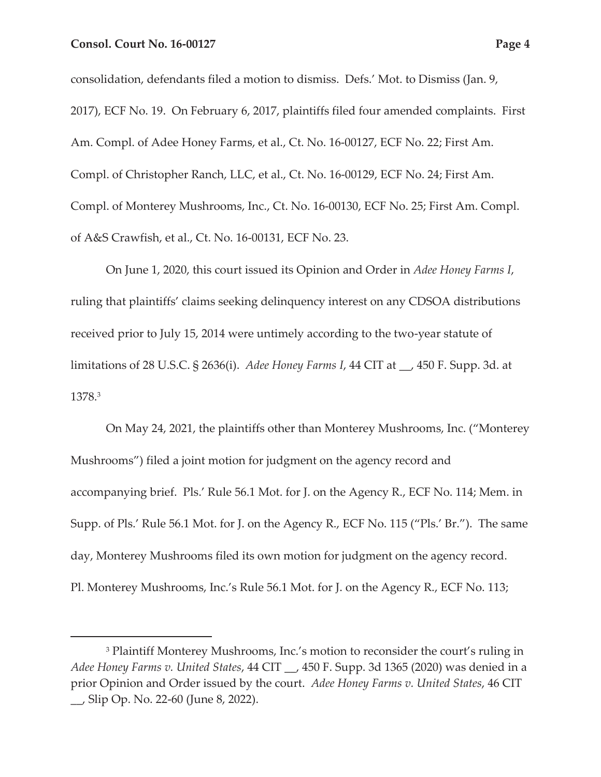consolidation, defendants filed a motion to dismiss. Defs.' Mot. to Dismiss (Jan. 9, 2017), ECF No. 19. On February 6, 2017, plaintiffs filed four amended complaints. First Am. Compl. of Adee Honey Farms, et al., Ct. No. 16-00127, ECF No. 22; First Am. Compl. of Christopher Ranch, LLC, et al., Ct. No. 16-00129, ECF No. 24; First Am. Compl. of Monterey Mushrooms, Inc., Ct. No. 16-00130, ECF No. 25; First Am. Compl. of A&S Crawfish, et al., Ct. No. 16-00131, ECF No. 23.

On June 1, 2020, this court issued its Opinion and Order in *Adee Honey Farms I*, ruling that plaintiffs' claims seeking delinquency interest on any CDSOA distributions received prior to July 15, 2014 were untimely according to the two-year statute of limitations of 28 U.S.C. § 2636(i). *Adee Honey Farms I*, 44 CIT at \_\_, 450 F. Supp. 3d. at 1378.3

On May 24, 2021, the plaintiffs other than Monterey Mushrooms, Inc. ("Monterey Mushrooms") filed a joint motion for judgment on the agency record and accompanying brief. Pls.' Rule 56.1 Mot. for J. on the Agency R., ECF No. 114; Mem. in Supp. of Pls.' Rule 56.1 Mot. for J. on the Agency R., ECF No. 115 ("Pls.' Br."). The same day, Monterey Mushrooms filed its own motion for judgment on the agency record. Pl. Monterey Mushrooms, Inc.'s Rule 56.1 Mot. for J. on the Agency R., ECF No. 113;

<sup>3</sup> Plaintiff Monterey Mushrooms, Inc.'s motion to reconsider the court's ruling in *Adee Honey Farms v. United States*, 44 CIT \_\_, 450 F. Supp. 3d 1365 (2020) was denied in a prior Opinion and Order issued by the court. *Adee Honey Farms v. United States*, 46 CIT \_\_, Slip Op. No. 22-60 (June 8, 2022).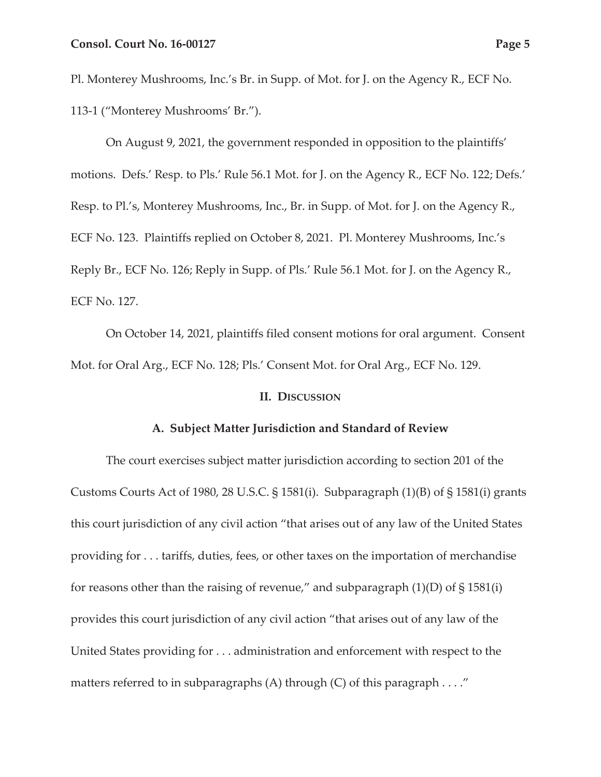Pl. Monterey Mushrooms, Inc.'s Br. in Supp. of Mot. for J. on the Agency R., ECF No. 113-1 ("Monterey Mushrooms' Br.").

On August 9, 2021, the government responded in opposition to the plaintiffs' motions. Defs.' Resp. to Pls.' Rule 56.1 Mot. for J. on the Agency R., ECF No. 122; Defs.' Resp. to Pl.'s, Monterey Mushrooms, Inc., Br. in Supp. of Mot. for J. on the Agency R., ECF No. 123. Plaintiffs replied on October 8, 2021. Pl. Monterey Mushrooms, Inc.'s Reply Br., ECF No. 126; Reply in Supp. of Pls.' Rule 56.1 Mot. for J. on the Agency R., ECF No. 127.

On October 14, 2021, plaintiffs filed consent motions for oral argument. Consent Mot. for Oral Arg., ECF No. 128; Pls.' Consent Mot. for Oral Arg., ECF No. 129.

#### **II. DISCUSSION**

#### **A. Subject Matter Jurisdiction and Standard of Review**

The court exercises subject matter jurisdiction according to section 201 of the Customs Courts Act of 1980, 28 U.S.C. § 1581(i). Subparagraph (1)(B) of § 1581(i) grants this court jurisdiction of any civil action "that arises out of any law of the United States providing for . . . tariffs, duties, fees, or other taxes on the importation of merchandise for reasons other than the raising of revenue," and subparagraph  $(1)(D)$  of  $\S 1581(i)$ provides this court jurisdiction of any civil action "that arises out of any law of the United States providing for . . . administration and enforcement with respect to the matters referred to in subparagraphs  $(A)$  through  $(C)$  of this paragraph  $\dots$ ."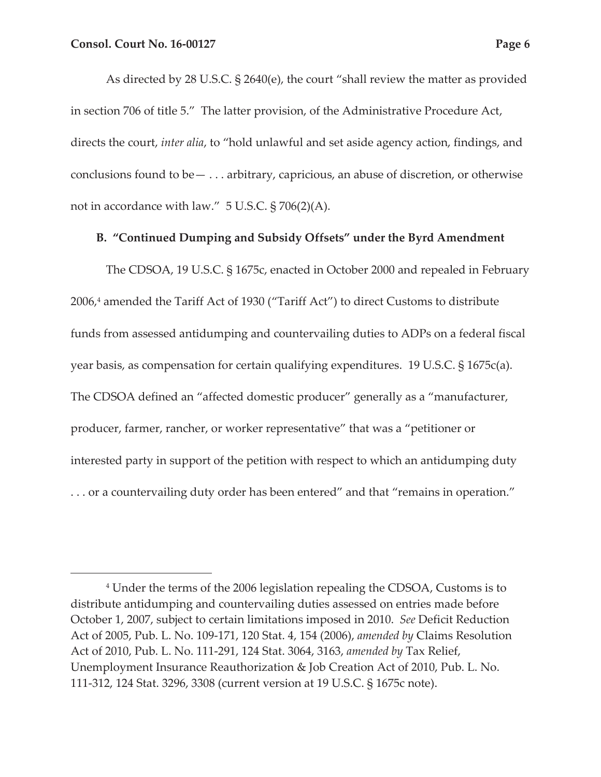As directed by 28 U.S.C. § 2640(e), the court "shall review the matter as provided in section 706 of title 5." The latter provision, of the Administrative Procedure Act, directs the court, *inter alia*, to "hold unlawful and set aside agency action, findings, and conclusions found to be— . . . arbitrary, capricious, an abuse of discretion, or otherwise not in accordance with law." 5 U.S.C. § 706(2)(A).

### **B. "Continued Dumping and Subsidy Offsets" under the Byrd Amendment**

The CDSOA, 19 U.S.C. § 1675c, enacted in October 2000 and repealed in February 2006,4 amended the Tariff Act of 1930 ("Tariff Act") to direct Customs to distribute funds from assessed antidumping and countervailing duties to ADPs on a federal fiscal year basis, as compensation for certain qualifying expenditures. 19 U.S.C. § 1675c(a). The CDSOA defined an "affected domestic producer" generally as a "manufacturer, producer, farmer, rancher, or worker representative" that was a "petitioner or interested party in support of the petition with respect to which an antidumping duty . . . or a countervailing duty order has been entered" and that "remains in operation."

<sup>4</sup> Under the terms of the 2006 legislation repealing the CDSOA, Customs is to distribute antidumping and countervailing duties assessed on entries made before October 1, 2007, subject to certain limitations imposed in 2010. *See* Deficit Reduction Act of 2005, Pub. L. No. 109-171, 120 Stat. 4, 154 (2006), *amended by* Claims Resolution Act of 2010, Pub. L. No. 111-291, 124 Stat. 3064, 3163, *amended by* Tax Relief, Unemployment Insurance Reauthorization & Job Creation Act of 2010, Pub. L. No. 111-312, 124 Stat. 3296, 3308 (current version at 19 U.S.C. § 1675c note).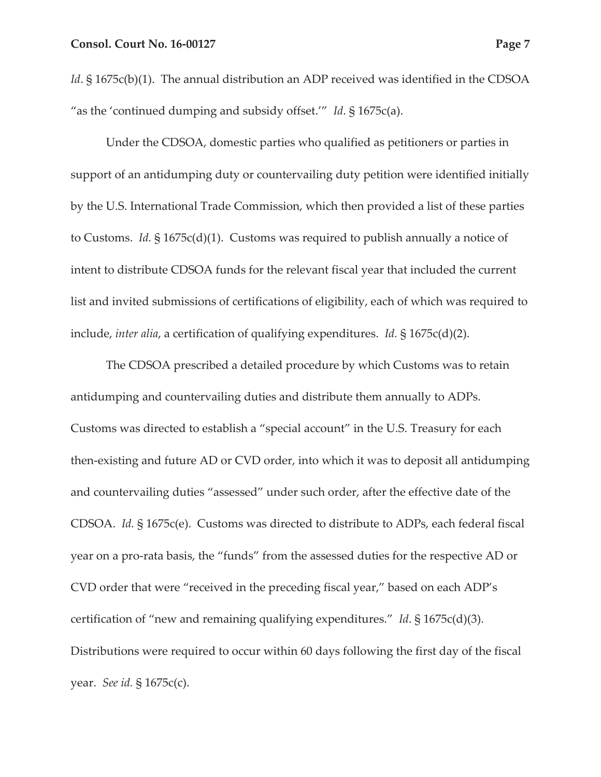*Id*. § 1675c(b)(1). The annual distribution an ADP received was identified in the CDSOA "as the 'continued dumping and subsidy offset.'" *Id*. § 1675c(a).

Under the CDSOA, domestic parties who qualified as petitioners or parties in support of an antidumping duty or countervailing duty petition were identified initially by the U.S. International Trade Commission, which then provided a list of these parties to Customs. *Id.* § 1675c(d)(1). Customs was required to publish annually a notice of intent to distribute CDSOA funds for the relevant fiscal year that included the current list and invited submissions of certifications of eligibility, each of which was required to include, *inter alia*, a certification of qualifying expenditures. *Id.* § 1675c(d)(2).

The CDSOA prescribed a detailed procedure by which Customs was to retain antidumping and countervailing duties and distribute them annually to ADPs. Customs was directed to establish a "special account" in the U.S. Treasury for each then-existing and future AD or CVD order, into which it was to deposit all antidumping and countervailing duties "assessed" under such order, after the effective date of the CDSOA. *Id.* § 1675c(e). Customs was directed to distribute to ADPs, each federal fiscal year on a pro-rata basis, the "funds" from the assessed duties for the respective AD or CVD order that were "received in the preceding fiscal year," based on each ADP's certification of "new and remaining qualifying expenditures." *Id*. § 1675c(d)(3). Distributions were required to occur within 60 days following the first day of the fiscal year. *See id.* § 1675c(c).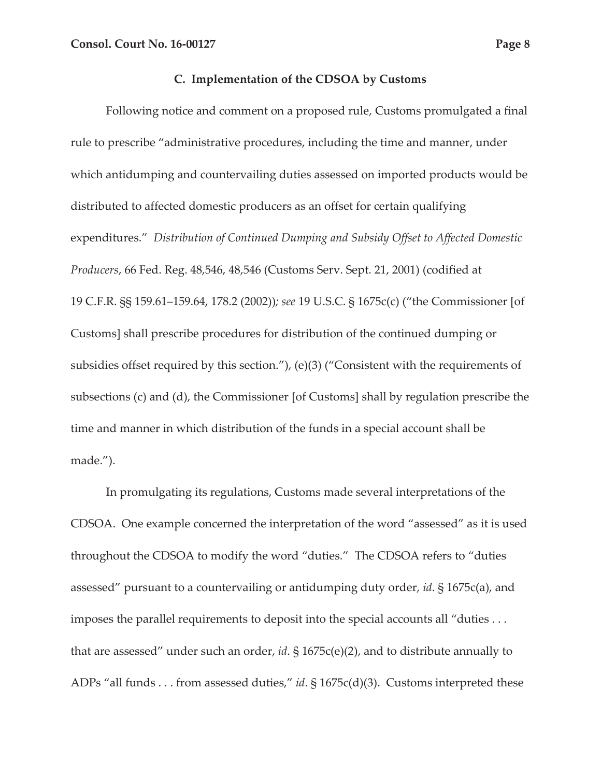#### **C. Implementation of the CDSOA by Customs**

Following notice and comment on a proposed rule, Customs promulgated a final rule to prescribe "administrative procedures, including the time and manner, under which antidumping and countervailing duties assessed on imported products would be distributed to affected domestic producers as an offset for certain qualifying expenditures." *Distribution of Continued Dumping and Subsidy Offset to Affected Domestic Producers*, 66 Fed. Reg. 48,546, 48,546 (Customs Serv. Sept. 21, 2001) (codified at 19 C.F.R. §§ 159.61–159.64, 178.2 (2002))*; see* 19 U.S.C. § 1675c(c) ("the Commissioner [of Customs] shall prescribe procedures for distribution of the continued dumping or subsidies offset required by this section."), (e)(3) ("Consistent with the requirements of subsections (c) and (d), the Commissioner [of Customs] shall by regulation prescribe the time and manner in which distribution of the funds in a special account shall be made.").

In promulgating its regulations, Customs made several interpretations of the CDSOA. One example concerned the interpretation of the word "assessed" as it is used throughout the CDSOA to modify the word "duties." The CDSOA refers to "duties assessed" pursuant to a countervailing or antidumping duty order, *id*. § 1675c(a), and imposes the parallel requirements to deposit into the special accounts all "duties . . . that are assessed" under such an order, *id*. § 1675c(e)(2), and to distribute annually to ADPs "all funds . . . from assessed duties," *id*. § 1675c(d)(3). Customs interpreted these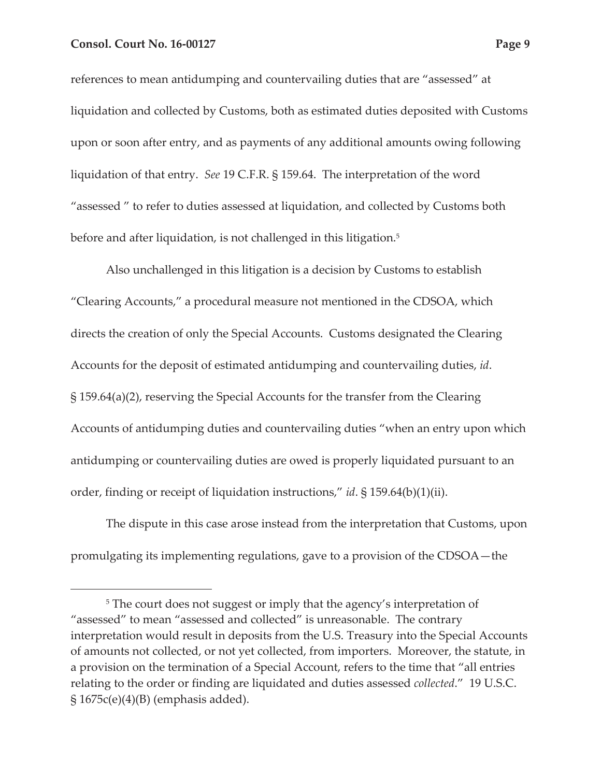references to mean antidumping and countervailing duties that are "assessed" at liquidation and collected by Customs, both as estimated duties deposited with Customs upon or soon after entry, and as payments of any additional amounts owing following liquidation of that entry. *See* 19 C.F.R. § 159.64. The interpretation of the word "assessed " to refer to duties assessed at liquidation, and collected by Customs both before and after liquidation, is not challenged in this litigation.<sup>5</sup>

Also unchallenged in this litigation is a decision by Customs to establish "Clearing Accounts," a procedural measure not mentioned in the CDSOA, which directs the creation of only the Special Accounts. Customs designated the Clearing Accounts for the deposit of estimated antidumping and countervailing duties, *id*. § 159.64(a)(2), reserving the Special Accounts for the transfer from the Clearing Accounts of antidumping duties and countervailing duties "when an entry upon which antidumping or countervailing duties are owed is properly liquidated pursuant to an order, finding or receipt of liquidation instructions," *id*. § 159.64(b)(1)(ii).

The dispute in this case arose instead from the interpretation that Customs, upon promulgating its implementing regulations, gave to a provision of the CDSOA—the

<sup>&</sup>lt;sup>5</sup> The court does not suggest or imply that the agency's interpretation of "assessed" to mean "assessed and collected" is unreasonable. The contrary interpretation would result in deposits from the U.S. Treasury into the Special Accounts of amounts not collected, or not yet collected, from importers. Moreover, the statute, in a provision on the termination of a Special Account, refers to the time that "all entries relating to the order or finding are liquidated and duties assessed *collected*." 19 U.S.C.  $\S 1675c(e)(4)(B)$  (emphasis added).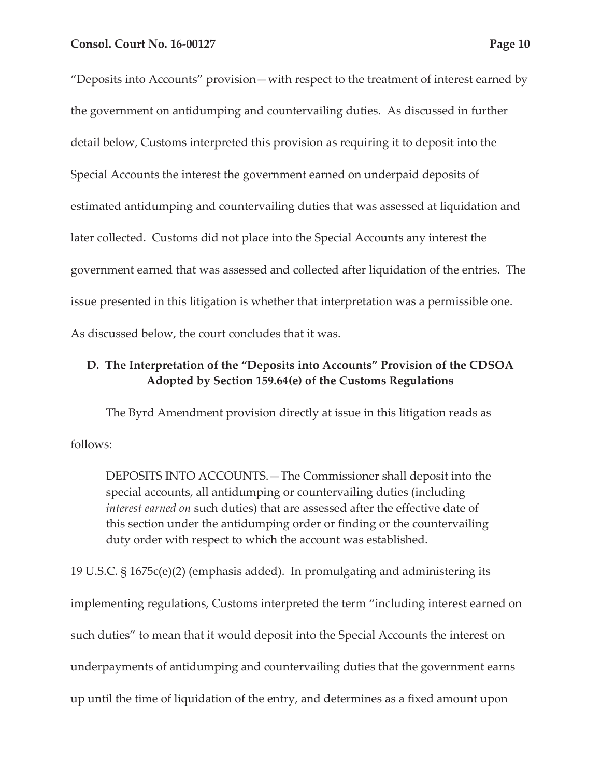"Deposits into Accounts" provision—with respect to the treatment of interest earned by

the government on antidumping and countervailing duties. As discussed in further detail below, Customs interpreted this provision as requiring it to deposit into the Special Accounts the interest the government earned on underpaid deposits of estimated antidumping and countervailing duties that was assessed at liquidation and later collected. Customs did not place into the Special Accounts any interest the government earned that was assessed and collected after liquidation of the entries. The issue presented in this litigation is whether that interpretation was a permissible one. As discussed below, the court concludes that it was.

# **D. The Interpretation of the "Deposits into Accounts" Provision of the CDSOA Adopted by Section 159.64(e) of the Customs Regulations**

The Byrd Amendment provision directly at issue in this litigation reads as follows:

DEPOSITS INTO ACCOUNTS.—The Commissioner shall deposit into the special accounts, all antidumping or countervailing duties (including *interest earned on* such duties) that are assessed after the effective date of this section under the antidumping order or finding or the countervailing duty order with respect to which the account was established.

19 U.S.C. § 1675c(e)(2) (emphasis added). In promulgating and administering its implementing regulations, Customs interpreted the term "including interest earned on such duties" to mean that it would deposit into the Special Accounts the interest on underpayments of antidumping and countervailing duties that the government earns up until the time of liquidation of the entry, and determines as a fixed amount upon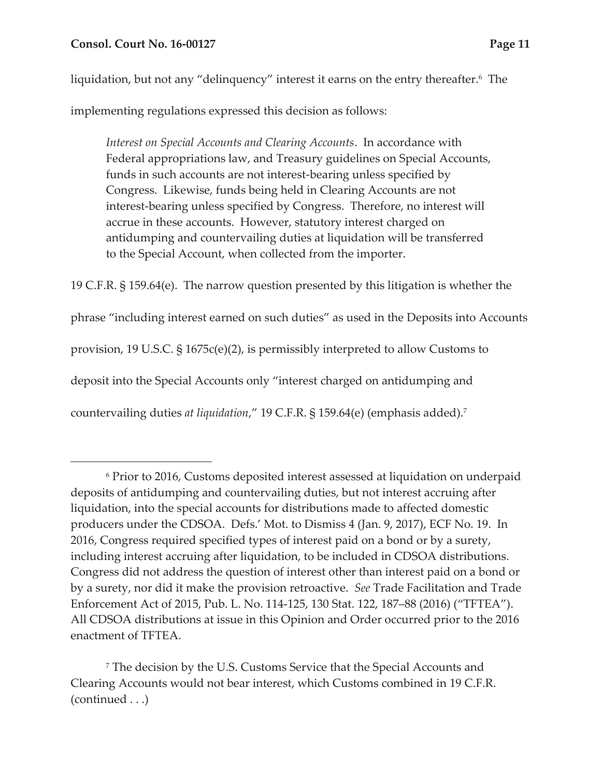## **Consol. Court No. 16-00127 Page 11**

liquidation, but not any "delinquency" interest it earns on the entry thereafter.<sup>6</sup> The

implementing regulations expressed this decision as follows:

*Interest on Special Accounts and Clearing Accounts*. In accordance with Federal appropriations law, and Treasury guidelines on Special Accounts, funds in such accounts are not interest-bearing unless specified by Congress. Likewise, funds being held in Clearing Accounts are not interest-bearing unless specified by Congress. Therefore, no interest will accrue in these accounts. However, statutory interest charged on antidumping and countervailing duties at liquidation will be transferred to the Special Account, when collected from the importer.

19 C.F.R. § 159.64(e). The narrow question presented by this litigation is whether the phrase "including interest earned on such duties" as used in the Deposits into Accounts provision, 19 U.S.C. § 1675c(e)(2), is permissibly interpreted to allow Customs to deposit into the Special Accounts only "interest charged on antidumping and countervailing duties *at liquidation*," 19 C.F.R. § 159.64(e) (emphasis added).7

<sup>6</sup> Prior to 2016, Customs deposited interest assessed at liquidation on underpaid deposits of antidumping and countervailing duties, but not interest accruing after liquidation, into the special accounts for distributions made to affected domestic producers under the CDSOA. Defs.' Mot. to Dismiss 4 (Jan. 9, 2017), ECF No. 19. In 2016, Congress required specified types of interest paid on a bond or by a surety, including interest accruing after liquidation, to be included in CDSOA distributions. Congress did not address the question of interest other than interest paid on a bond or by a surety, nor did it make the provision retroactive. *See* Trade Facilitation and Trade Enforcement Act of 2015, Pub. L. No. 114-125, 130 Stat. 122, 187–88 (2016) ("TFTEA"). All CDSOA distributions at issue in this Opinion and Order occurred prior to the 2016 enactment of TFTEA.

<sup>7</sup> The decision by the U.S. Customs Service that the Special Accounts and Clearing Accounts would not bear interest, which Customs combined in 19 C.F.R. (continued . . .)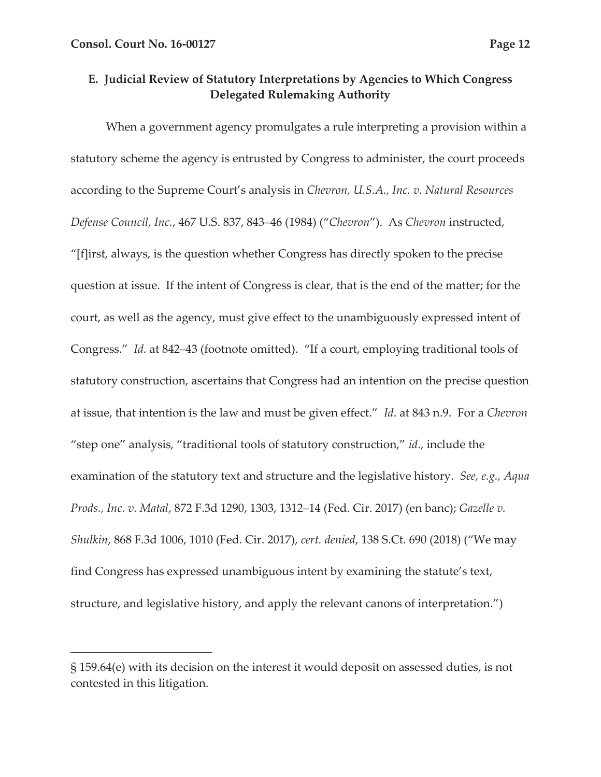# **E. Judicial Review of Statutory Interpretations by Agencies to Which Congress Delegated Rulemaking Authority**

When a government agency promulgates a rule interpreting a provision within a statutory scheme the agency is entrusted by Congress to administer, the court proceeds according to the Supreme Court's analysis in *Chevron, U.S.A., Inc. v. Natural Resources Defense Council, Inc.*, 467 U.S. 837, 843–46 (1984) ("*Chevron*"). As *Chevron* instructed, "[f]irst, always, is the question whether Congress has directly spoken to the precise question at issue. If the intent of Congress is clear, that is the end of the matter; for the court, as well as the agency, must give effect to the unambiguously expressed intent of Congress." *Id.* at 842–43 (footnote omitted). "If a court, employing traditional tools of statutory construction, ascertains that Congress had an intention on the precise question at issue, that intention is the law and must be given effect." *Id*. at 843 n.9. For a *Chevron*  "step one" analysis, "traditional tools of statutory construction," *id*., include the examination of the statutory text and structure and the legislative history. *See, e.g., Aqua Prods., Inc. v. Matal*, 872 F.3d 1290, 1303, 1312–14 (Fed. Cir. 2017) (en banc); *Gazelle v. Shulkin*, 868 F.3d 1006, 1010 (Fed. Cir. 2017), *cert. denied*, 138 S.Ct. 690 (2018) ("We may find Congress has expressed unambiguous intent by examining the statute's text, structure, and legislative history, and apply the relevant canons of interpretation.")

<sup>§ 159.64(</sup>e) with its decision on the interest it would deposit on assessed duties, is not contested in this litigation.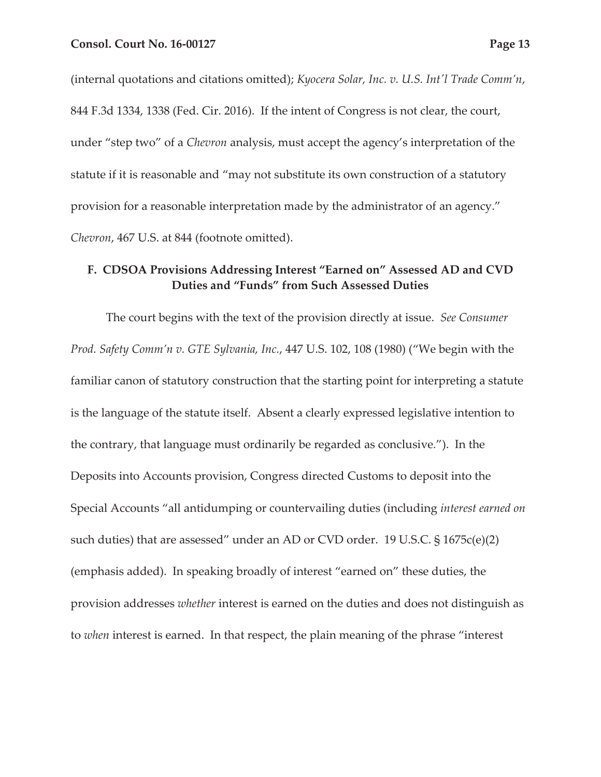(internal quotations and citations omitted); *Kyocera Solar, Inc. v. U.S. Int'l Trade Comm'n*, 844 F.3d 1334, 1338 (Fed. Cir. 2016). If the intent of Congress is not clear, the court, under "step two" of a *Chevron* analysis, must accept the agency's interpretation of the statute if it is reasonable and "may not substitute its own construction of a statutory provision for a reasonable interpretation made by the administrator of an agency." *Chevron*, 467 U.S. at 844 (footnote omitted).

# **F. CDSOA Provisions Addressing Interest "Earned on" Assessed AD and CVD Duties and "Funds" from Such Assessed Duties**

The court begins with the text of the provision directly at issue. *See Consumer Prod. Safety Comm'n v. GTE Sylvania, Inc.*, 447 U.S. 102, 108 (1980) ("We begin with the familiar canon of statutory construction that the starting point for interpreting a statute is the language of the statute itself. Absent a clearly expressed legislative intention to the contrary, that language must ordinarily be regarded as conclusive*.*"). In the Deposits into Accounts provision, Congress directed Customs to deposit into the Special Accounts "all antidumping or countervailing duties (including *interest earned on* such duties) that are assessed" under an AD or CVD order. 19 U.S.C. § 1675c(e)(2) (emphasis added). In speaking broadly of interest "earned on" these duties, the provision addresses *whether* interest is earned on the duties and does not distinguish as to *when* interest is earned. In that respect, the plain meaning of the phrase "interest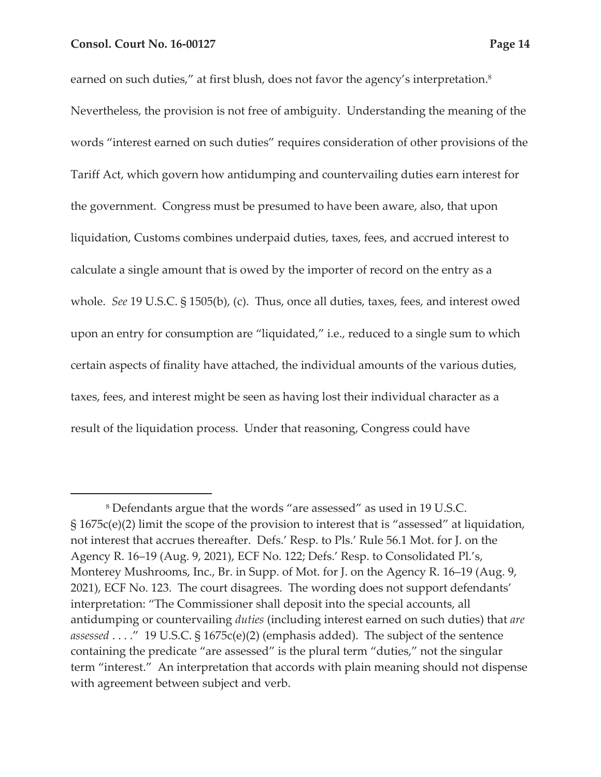earned on such duties," at first blush, does not favor the agency's interpretation. $^8$ Nevertheless, the provision is not free of ambiguity. Understanding the meaning of the words "interest earned on such duties" requires consideration of other provisions of the Tariff Act, which govern how antidumping and countervailing duties earn interest for the government. Congress must be presumed to have been aware, also, that upon liquidation, Customs combines underpaid duties, taxes, fees, and accrued interest to calculate a single amount that is owed by the importer of record on the entry as a whole. *See* 19 U.S.C. § 1505(b), (c). Thus, once all duties, taxes, fees, and interest owed upon an entry for consumption are "liquidated," i.e., reduced to a single sum to which certain aspects of finality have attached, the individual amounts of the various duties, taxes, fees, and interest might be seen as having lost their individual character as a result of the liquidation process. Under that reasoning, Congress could have

<sup>8</sup> Defendants argue that the words "are assessed" as used in 19 U.S.C. § 1675c(e)(2) limit the scope of the provision to interest that is "assessed" at liquidation, not interest that accrues thereafter. Defs.' Resp. to Pls.' Rule 56.1 Mot. for J. on the Agency R. 16–19 (Aug. 9, 2021), ECF No. 122; Defs.' Resp. to Consolidated Pl.'s, Monterey Mushrooms, Inc., Br. in Supp. of Mot. for J. on the Agency R. 16–19 (Aug. 9, 2021), ECF No. 123. The court disagrees. The wording does not support defendants' interpretation: "The Commissioner shall deposit into the special accounts, all antidumping or countervailing *duties* (including interest earned on such duties) that *are assessed* . . . ." 19 U.S.C. § 1675c(e)(2) (emphasis added). The subject of the sentence containing the predicate "are assessed" is the plural term "duties," not the singular term "interest." An interpretation that accords with plain meaning should not dispense with agreement between subject and verb.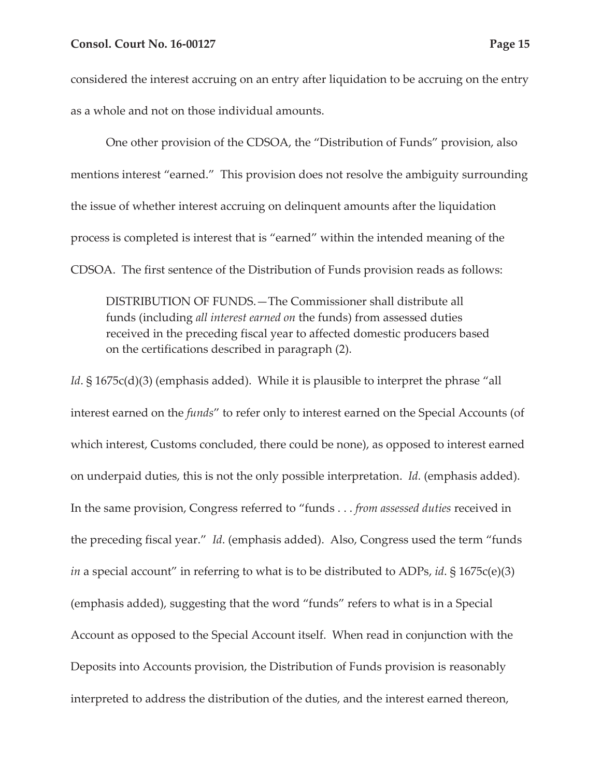considered the interest accruing on an entry after liquidation to be accruing on the entry as a whole and not on those individual amounts.

One other provision of the CDSOA, the "Distribution of Funds" provision, also mentions interest "earned." This provision does not resolve the ambiguity surrounding the issue of whether interest accruing on delinquent amounts after the liquidation process is completed is interest that is "earned" within the intended meaning of the CDSOA. The first sentence of the Distribution of Funds provision reads as follows:

DISTRIBUTION OF FUNDS.—The Commissioner shall distribute all funds (including *all interest earned on* the funds) from assessed duties received in the preceding fiscal year to affected domestic producers based on the certifications described in paragraph (2).

*Id*. § 1675c(d)(3) (emphasis added). While it is plausible to interpret the phrase "all interest earned on the *funds*" to refer only to interest earned on the Special Accounts (of which interest, Customs concluded, there could be none), as opposed to interest earned on underpaid duties, this is not the only possible interpretation. *Id.* (emphasis added). In the same provision, Congress referred to "funds . . . *from assessed duties* received in the preceding fiscal year." *Id*. (emphasis added). Also, Congress used the term "funds *in* a special account" in referring to what is to be distributed to ADPs, *id*. § 1675c(e)(3) (emphasis added), suggesting that the word "funds" refers to what is in a Special Account as opposed to the Special Account itself. When read in conjunction with the Deposits into Accounts provision, the Distribution of Funds provision is reasonably interpreted to address the distribution of the duties, and the interest earned thereon,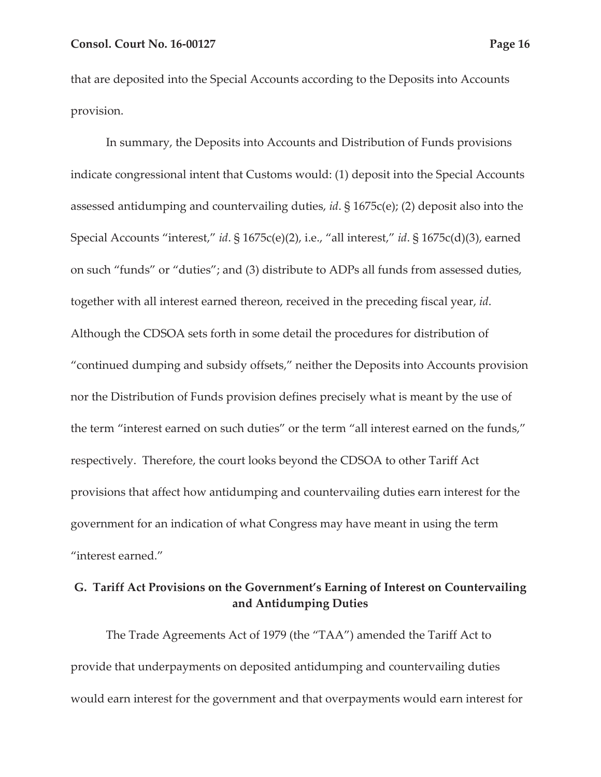that are deposited into the Special Accounts according to the Deposits into Accounts provision.

In summary, the Deposits into Accounts and Distribution of Funds provisions indicate congressional intent that Customs would: (1) deposit into the Special Accounts assessed antidumping and countervailing duties, *id*. § 1675c(e); (2) deposit also into the Special Accounts "interest," *id*. § 1675c(e)(2), i.e., "all interest," *id*. § 1675c(d)(3), earned on such "funds" or "duties"; and (3) distribute to ADPs all funds from assessed duties, together with all interest earned thereon, received in the preceding fiscal year, *id*. Although the CDSOA sets forth in some detail the procedures for distribution of "continued dumping and subsidy offsets," neither the Deposits into Accounts provision nor the Distribution of Funds provision defines precisely what is meant by the use of the term "interest earned on such duties" or the term "all interest earned on the funds," respectively. Therefore, the court looks beyond the CDSOA to other Tariff Act provisions that affect how antidumping and countervailing duties earn interest for the government for an indication of what Congress may have meant in using the term "interest earned."

# **G. Tariff Act Provisions on the Government's Earning of Interest on Countervailing and Antidumping Duties**

The Trade Agreements Act of 1979 (the "TAA") amended the Tariff Act to provide that underpayments on deposited antidumping and countervailing duties would earn interest for the government and that overpayments would earn interest for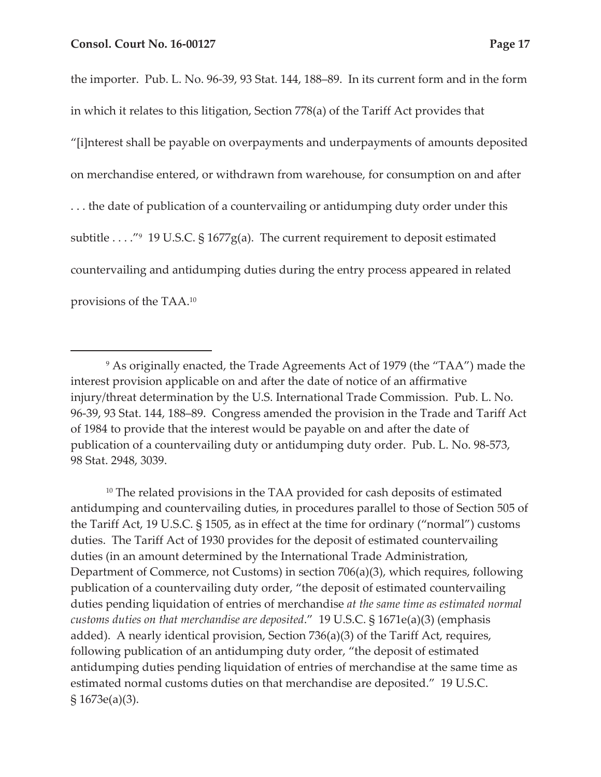the importer. Pub. L. No. 96-39, 93 Stat. 144, 188–89. In its current form and in the form in which it relates to this litigation, Section 778(a) of the Tariff Act provides that "[i]nterest shall be payable on overpayments and underpayments of amounts deposited on merchandise entered, or withdrawn from warehouse, for consumption on and after . . . the date of publication of a countervailing or antidumping duty order under this subtitle . . . ."<sup>9</sup> 19 U.S.C. § 1677g(a). The current requirement to deposit estimated countervailing and antidumping duties during the entry process appeared in related provisions of the TAA.10

<sup>10</sup> The related provisions in the TAA provided for cash deposits of estimated antidumping and countervailing duties, in procedures parallel to those of Section 505 of the Tariff Act, 19 U.S.C. § 1505, as in effect at the time for ordinary ("normal") customs duties. The Tariff Act of 1930 provides for the deposit of estimated countervailing duties (in an amount determined by the International Trade Administration, Department of Commerce, not Customs) in section 706(a)(3), which requires, following publication of a countervailing duty order, "the deposit of estimated countervailing duties pending liquidation of entries of merchandise *at the same time as estimated normal customs duties on that merchandise are deposited*." 19 U.S.C. § 1671e(a)(3) (emphasis added). A nearly identical provision, Section 736(a)(3) of the Tariff Act, requires, following publication of an antidumping duty order, "the deposit of estimated antidumping duties pending liquidation of entries of merchandise at the same time as estimated normal customs duties on that merchandise are deposited." 19 U.S.C. § 1673e(a)(3).

<sup>9</sup> As originally enacted, the Trade Agreements Act of 1979 (the "TAA") made the interest provision applicable on and after the date of notice of an affirmative injury/threat determination by the U.S. International Trade Commission. Pub. L. No. 96-39, 93 Stat. 144, 188–89. Congress amended the provision in the Trade and Tariff Act of 1984 to provide that the interest would be payable on and after the date of publication of a countervailing duty or antidumping duty order. Pub. L. No. 98-573, 98 Stat. 2948, 3039.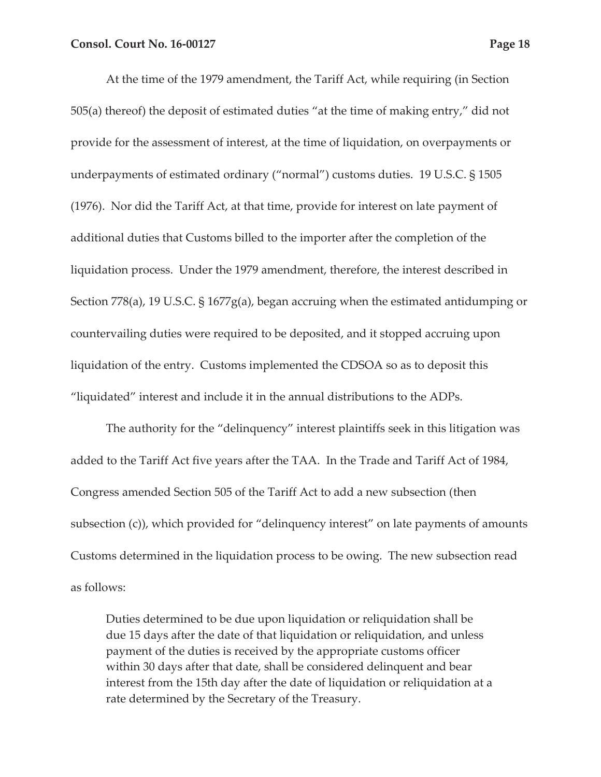At the time of the 1979 amendment, the Tariff Act, while requiring (in Section 505(a) thereof) the deposit of estimated duties "at the time of making entry," did not provide for the assessment of interest, at the time of liquidation, on overpayments or underpayments of estimated ordinary ("normal") customs duties. 19 U.S.C. § 1505 (1976). Nor did the Tariff Act, at that time, provide for interest on late payment of additional duties that Customs billed to the importer after the completion of the liquidation process. Under the 1979 amendment, therefore, the interest described in Section 778(a), 19 U.S.C. § 1677g(a), began accruing when the estimated antidumping or countervailing duties were required to be deposited, and it stopped accruing upon liquidation of the entry. Customs implemented the CDSOA so as to deposit this "liquidated" interest and include it in the annual distributions to the ADPs.

The authority for the "delinquency" interest plaintiffs seek in this litigation was added to the Tariff Act five years after the TAA. In the Trade and Tariff Act of 1984, Congress amended Section 505 of the Tariff Act to add a new subsection (then subsection (c)), which provided for "delinquency interest" on late payments of amounts Customs determined in the liquidation process to be owing. The new subsection read as follows:

Duties determined to be due upon liquidation or reliquidation shall be due 15 days after the date of that liquidation or reliquidation, and unless payment of the duties is received by the appropriate customs officer within 30 days after that date, shall be considered delinquent and bear interest from the 15th day after the date of liquidation or reliquidation at a rate determined by the Secretary of the Treasury.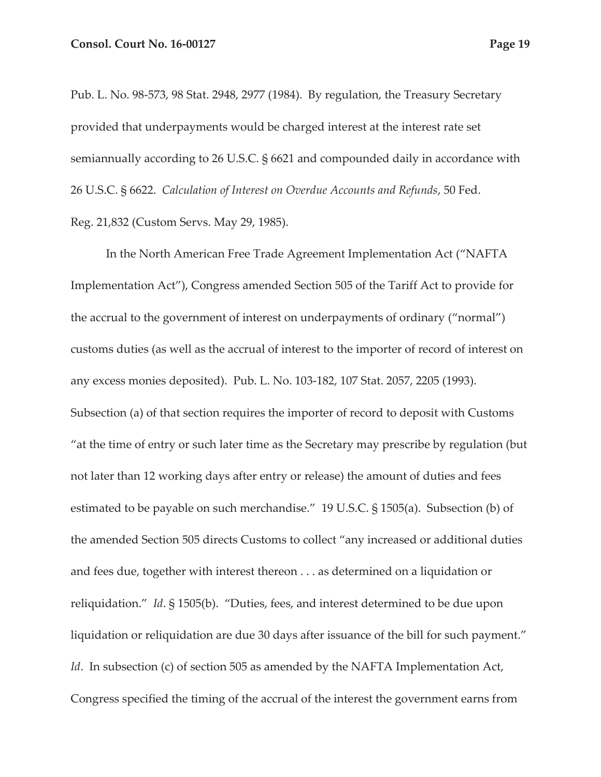Pub. L. No. 98-573, 98 Stat. 2948, 2977 (1984). By regulation, the Treasury Secretary provided that underpayments would be charged interest at the interest rate set semiannually according to 26 U.S.C. § 6621 and compounded daily in accordance with 26 U.S.C. § 6622. *Calculation of Interest on Overdue Accounts and Refunds*, 50 Fed. Reg. 21,832 (Custom Servs. May 29, 1985).

In the North American Free Trade Agreement Implementation Act ("NAFTA Implementation Act"), Congress amended Section 505 of the Tariff Act to provide for the accrual to the government of interest on underpayments of ordinary ("normal") customs duties (as well as the accrual of interest to the importer of record of interest on any excess monies deposited). Pub. L. No. 103-182, 107 Stat. 2057, 2205 (1993). Subsection (a) of that section requires the importer of record to deposit with Customs "at the time of entry or such later time as the Secretary may prescribe by regulation (but not later than 12 working days after entry or release) the amount of duties and fees estimated to be payable on such merchandise." 19 U.S.C. § 1505(a). Subsection (b) of the amended Section 505 directs Customs to collect "any increased or additional duties and fees due, together with interest thereon . . . as determined on a liquidation or reliquidation." *Id*. § 1505(b). "Duties, fees, and interest determined to be due upon liquidation or reliquidation are due 30 days after issuance of the bill for such payment." *Id.* In subsection (c) of section 505 as amended by the NAFTA Implementation Act, Congress specified the timing of the accrual of the interest the government earns from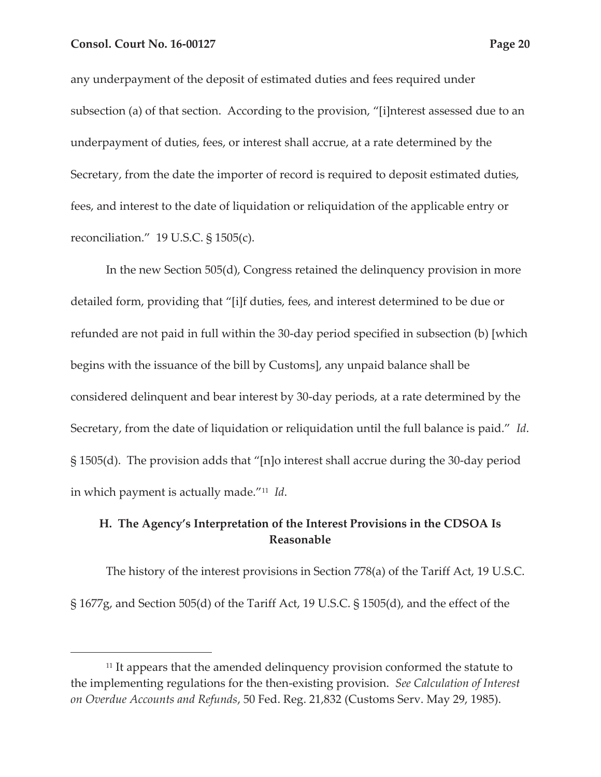any underpayment of the deposit of estimated duties and fees required under subsection (a) of that section. According to the provision, "[i]nterest assessed due to an underpayment of duties, fees, or interest shall accrue, at a rate determined by the Secretary, from the date the importer of record is required to deposit estimated duties, fees, and interest to the date of liquidation or reliquidation of the applicable entry or reconciliation." 19 U.S.C. § 1505(c).

In the new Section 505(d), Congress retained the delinquency provision in more detailed form, providing that "[i]f duties, fees, and interest determined to be due or refunded are not paid in full within the 30-day period specified in subsection (b) [which begins with the issuance of the bill by Customs], any unpaid balance shall be considered delinquent and bear interest by 30-day periods, at a rate determined by the Secretary, from the date of liquidation or reliquidation until the full balance is paid." *Id*. § 1505(d). The provision adds that "[n]o interest shall accrue during the 30-day period in which payment is actually made."11 *Id*.

# **H. The Agency's Interpretation of the Interest Provisions in the CDSOA Is Reasonable**

The history of the interest provisions in Section 778(a) of the Tariff Act, 19 U.S.C. § 1677g, and Section 505(d) of the Tariff Act, 19 U.S.C. § 1505(d), and the effect of the

<sup>&</sup>lt;sup>11</sup> It appears that the amended delinquency provision conformed the statute to the implementing regulations for the then-existing provision. *See Calculation of Interest on Overdue Accounts and Refunds*, 50 Fed. Reg. 21,832 (Customs Serv. May 29, 1985).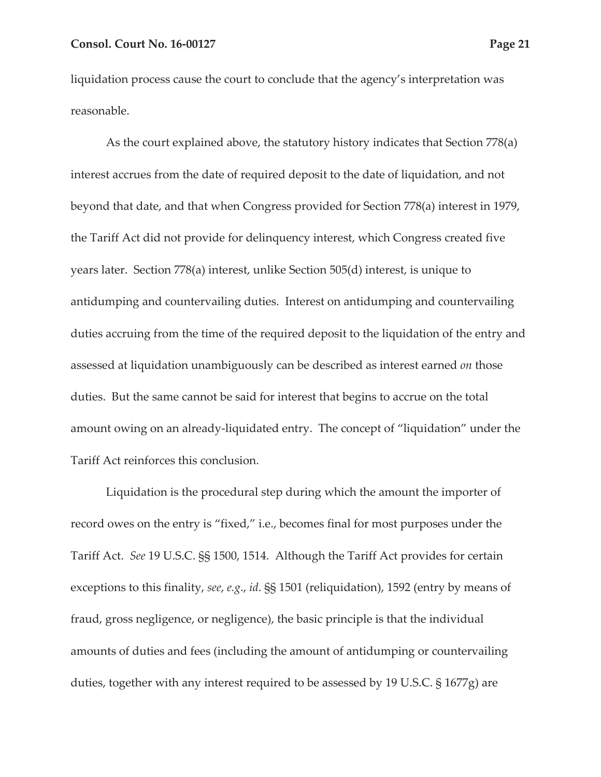liquidation process cause the court to conclude that the agency's interpretation was reasonable.

As the court explained above, the statutory history indicates that Section 778(a) interest accrues from the date of required deposit to the date of liquidation, and not beyond that date, and that when Congress provided for Section 778(a) interest in 1979, the Tariff Act did not provide for delinquency interest, which Congress created five years later. Section 778(a) interest, unlike Section 505(d) interest, is unique to antidumping and countervailing duties. Interest on antidumping and countervailing duties accruing from the time of the required deposit to the liquidation of the entry and assessed at liquidation unambiguously can be described as interest earned *on* those duties. But the same cannot be said for interest that begins to accrue on the total amount owing on an already-liquidated entry. The concept of "liquidation" under the Tariff Act reinforces this conclusion.

Liquidation is the procedural step during which the amount the importer of record owes on the entry is "fixed," i.e., becomes final for most purposes under the Tariff Act. *See* 19 U.S.C. §§ 1500, 1514. Although the Tariff Act provides for certain exceptions to this finality, *see*, *e.g*., *id*. §§ 1501 (reliquidation), 1592 (entry by means of fraud, gross negligence, or negligence), the basic principle is that the individual amounts of duties and fees (including the amount of antidumping or countervailing duties, together with any interest required to be assessed by 19 U.S.C. § 1677g) are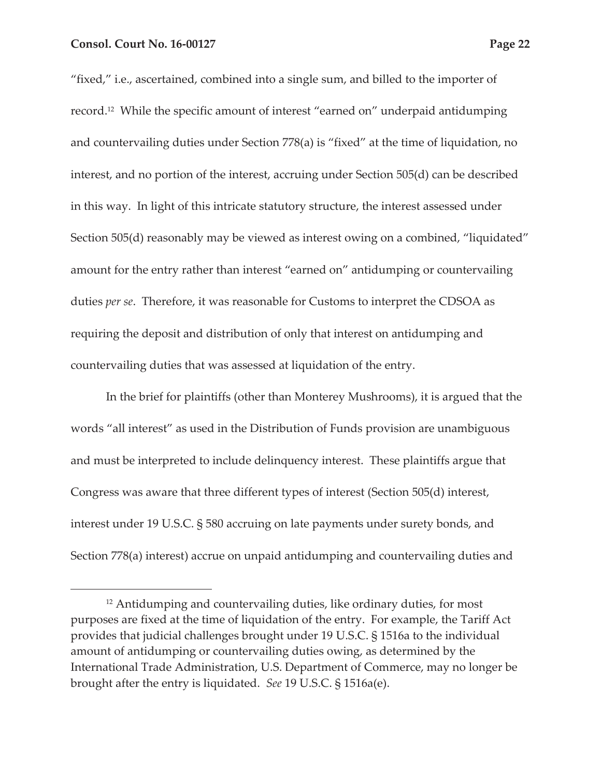"fixed," i.e., ascertained, combined into a single sum, and billed to the importer of record.12 While the specific amount of interest "earned on" underpaid antidumping and countervailing duties under Section 778(a) is "fixed" at the time of liquidation, no interest, and no portion of the interest, accruing under Section 505(d) can be described in this way. In light of this intricate statutory structure, the interest assessed under Section 505(d) reasonably may be viewed as interest owing on a combined, "liquidated" amount for the entry rather than interest "earned on" antidumping or countervailing duties *per se*. Therefore, it was reasonable for Customs to interpret the CDSOA as requiring the deposit and distribution of only that interest on antidumping and countervailing duties that was assessed at liquidation of the entry.

In the brief for plaintiffs (other than Monterey Mushrooms), it is argued that the words "all interest" as used in the Distribution of Funds provision are unambiguous and must be interpreted to include delinquency interest. These plaintiffs argue that Congress was aware that three different types of interest (Section 505(d) interest, interest under 19 U.S.C. § 580 accruing on late payments under surety bonds, and Section 778(a) interest) accrue on unpaid antidumping and countervailing duties and

<sup>12</sup> Antidumping and countervailing duties, like ordinary duties, for most purposes are fixed at the time of liquidation of the entry. For example, the Tariff Act provides that judicial challenges brought under 19 U.S.C. § 1516a to the individual amount of antidumping or countervailing duties owing, as determined by the International Trade Administration, U.S. Department of Commerce, may no longer be brought after the entry is liquidated. *See* 19 U.S.C. § 1516a(e).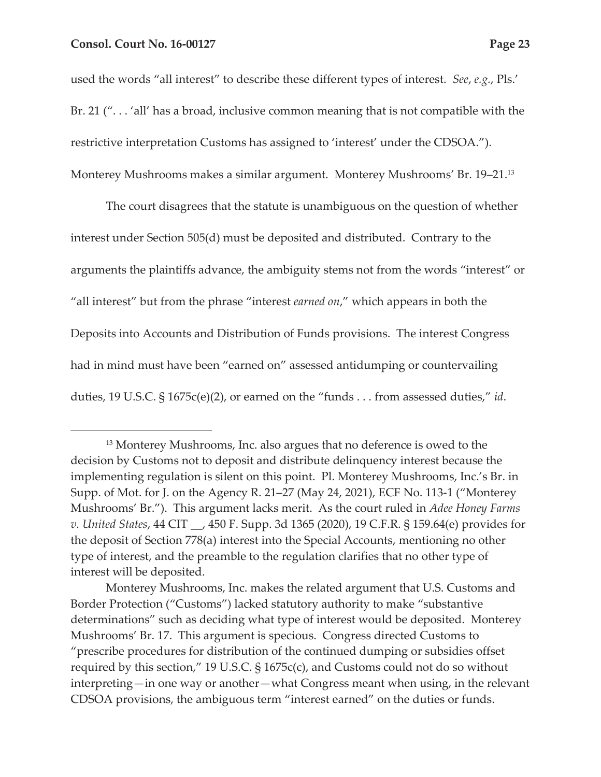used the words "all interest" to describe these different types of interest. *See*, *e.g.*, Pls.' Br. 21 ("...'all' has a broad, inclusive common meaning that is not compatible with the restrictive interpretation Customs has assigned to 'interest' under the CDSOA."). Monterey Mushrooms makes a similar argument. Monterey Mushrooms' Br. 19–21.13

The court disagrees that the statute is unambiguous on the question of whether interest under Section 505(d) must be deposited and distributed. Contrary to the arguments the plaintiffs advance, the ambiguity stems not from the words "interest" or "all interest" but from the phrase "interest *earned on*," which appears in both the Deposits into Accounts and Distribution of Funds provisions. The interest Congress had in mind must have been "earned on" assessed antidumping or countervailing duties, 19 U.S.C. § 1675c(e)(2), or earned on the "funds . . . from assessed duties," *id*.

<sup>&</sup>lt;sup>13</sup> Monterey Mushrooms, Inc. also argues that no deference is owed to the decision by Customs not to deposit and distribute delinquency interest because the implementing regulation is silent on this point. Pl. Monterey Mushrooms, Inc.'s Br. in Supp. of Mot. for J. on the Agency R. 21–27 (May 24, 2021), ECF No. 113-1 ("Monterey Mushrooms' Br."). This argument lacks merit. As the court ruled in *Adee Honey Farms v. United States*, 44 CIT \_\_, 450 F. Supp. 3d 1365 (2020), 19 C.F.R. § 159.64(e) provides for the deposit of Section 778(a) interest into the Special Accounts, mentioning no other type of interest, and the preamble to the regulation clarifies that no other type of interest will be deposited.

Monterey Mushrooms, Inc. makes the related argument that U.S. Customs and Border Protection ("Customs") lacked statutory authority to make "substantive determinations" such as deciding what type of interest would be deposited. Monterey Mushrooms' Br. 17. This argument is specious. Congress directed Customs to "prescribe procedures for distribution of the continued dumping or subsidies offset required by this section," 19 U.S.C.  $\S 1675c(c)$ , and Customs could not do so without interpreting—in one way or another—what Congress meant when using, in the relevant CDSOA provisions, the ambiguous term "interest earned" on the duties or funds.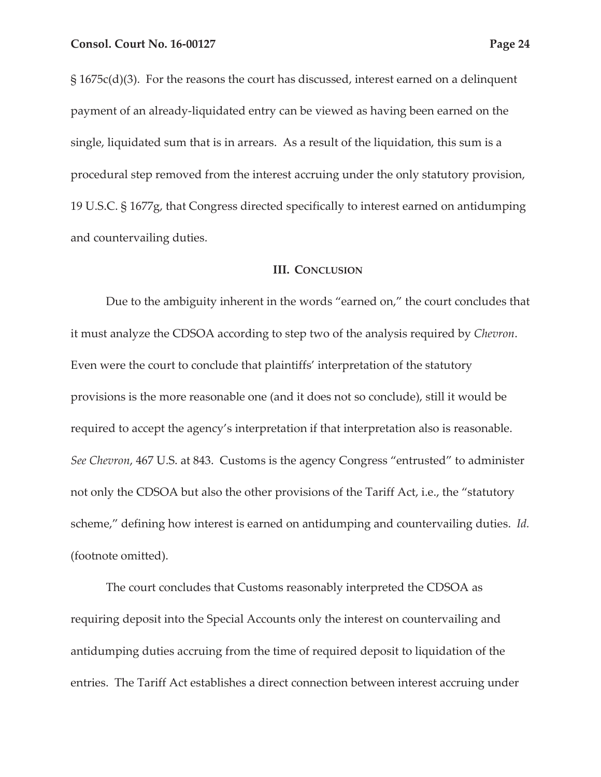§ 1675c(d)(3). For the reasons the court has discussed, interest earned on a delinquent payment of an already-liquidated entry can be viewed as having been earned on the single, liquidated sum that is in arrears. As a result of the liquidation, this sum is a procedural step removed from the interest accruing under the only statutory provision, 19 U.S.C. § 1677g, that Congress directed specifically to interest earned on antidumping and countervailing duties.

#### **III. CONCLUSION**

Due to the ambiguity inherent in the words "earned on," the court concludes that it must analyze the CDSOA according to step two of the analysis required by *Chevron*. Even were the court to conclude that plaintiffs' interpretation of the statutory provisions is the more reasonable one (and it does not so conclude), still it would be required to accept the agency's interpretation if that interpretation also is reasonable. *See Chevron*, 467 U.S. at 843. Customs is the agency Congress "entrusted" to administer not only the CDSOA but also the other provisions of the Tariff Act, i.e., the "statutory scheme," defining how interest is earned on antidumping and countervailing duties. *Id.* (footnote omitted).

The court concludes that Customs reasonably interpreted the CDSOA as requiring deposit into the Special Accounts only the interest on countervailing and antidumping duties accruing from the time of required deposit to liquidation of the entries. The Tariff Act establishes a direct connection between interest accruing under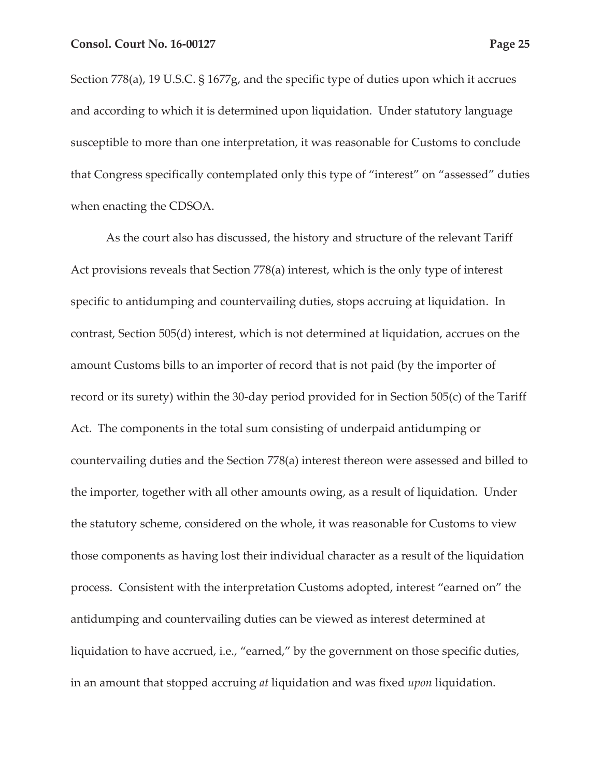Section 778(a), 19 U.S.C. § 1677g, and the specific type of duties upon which it accrues and according to which it is determined upon liquidation. Under statutory language susceptible to more than one interpretation, it was reasonable for Customs to conclude that Congress specifically contemplated only this type of "interest" on "assessed" duties when enacting the CDSOA.

As the court also has discussed, the history and structure of the relevant Tariff Act provisions reveals that Section 778(a) interest, which is the only type of interest specific to antidumping and countervailing duties, stops accruing at liquidation. In contrast, Section 505(d) interest, which is not determined at liquidation, accrues on the amount Customs bills to an importer of record that is not paid (by the importer of record or its surety) within the 30-day period provided for in Section 505(c) of the Tariff Act. The components in the total sum consisting of underpaid antidumping or countervailing duties and the Section 778(a) interest thereon were assessed and billed to the importer, together with all other amounts owing, as a result of liquidation. Under the statutory scheme, considered on the whole, it was reasonable for Customs to view those components as having lost their individual character as a result of the liquidation process. Consistent with the interpretation Customs adopted, interest "earned on" the antidumping and countervailing duties can be viewed as interest determined at liquidation to have accrued, i.e., "earned," by the government on those specific duties, in an amount that stopped accruing *at* liquidation and was fixed *upon* liquidation.